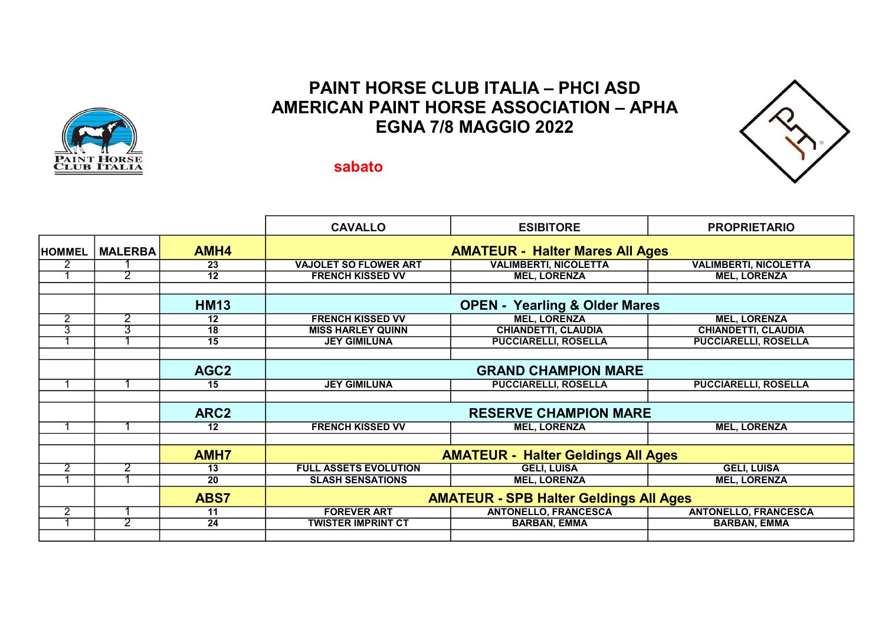## PAINT HORSE CLUB ITALIA – PHCI ASD AMERICAN PAINT HORSE ASSOCIATION – APHA EGNA 7/8 MAGGIO 2022



## sabato

|                |                |                  | <b>CAVALLO</b>                                | <b>ESIBITORE</b>             | <b>PROPRIETARIO</b>          |  |  |
|----------------|----------------|------------------|-----------------------------------------------|------------------------------|------------------------------|--|--|
| <b>HOMMEL</b>  | <b>MALERBA</b> | AMH4             | <b>AMATEUR - Halter Mares All Ages</b>        |                              |                              |  |  |
|                |                | 23               | <b>VAJOLET SO FLOWER ART</b>                  | <b>VALIMBERTI, NICOLETTA</b> | <b>VALIMBERTI, NICOLETTA</b> |  |  |
|                | 2              | $\overline{12}$  | <b>FRENCH KISSED VV</b>                       | <b>MEL, LORENZA</b>          | <b>MEL, LORENZA</b>          |  |  |
|                |                |                  |                                               |                              |                              |  |  |
|                |                | <b>HM13</b>      | <b>OPEN - Yearling &amp; Older Mares</b>      |                              |                              |  |  |
| $\overline{2}$ | 2              | 12               | <b>FRENCH KISSED VV</b>                       | <b>MEL, LORENZA</b>          | <b>MEL, LORENZA</b>          |  |  |
| 3              | 3              | 18               | <b>MISS HARLEY QUINN</b>                      | <b>CHIANDETTI, CLAUDIA</b>   | <b>CHIANDETTI, CLAUDIA</b>   |  |  |
|                |                | 15               | <b>JEY GIMILUNA</b>                           | <b>PUCCIARELLI, ROSELLA</b>  | <b>PUCCIARELLI, ROSELLA</b>  |  |  |
|                |                |                  |                                               |                              |                              |  |  |
|                |                | AGC <sub>2</sub> | <b>GRAND CHAMPION MARE</b>                    |                              |                              |  |  |
|                |                | 15               | <b>JEY GIMILUNA</b>                           | <b>PUCCIARELLI, ROSELLA</b>  | <b>PUCCIARELLI, ROSELLA</b>  |  |  |
|                |                |                  |                                               |                              |                              |  |  |
|                |                | ARC <sub>2</sub> | <b>RESERVE CHAMPION MARE</b>                  |                              |                              |  |  |
|                |                | 12               | <b>FRENCH KISSED VV</b>                       | <b>MEL, LORENZA</b>          | <b>MEL, LORENZA</b>          |  |  |
|                |                |                  |                                               |                              |                              |  |  |
|                |                | AMH <sub>7</sub> | <b>AMATEUR - Halter Geldings All Ages</b>     |                              |                              |  |  |
| 2              | 2              | 13               | <b>FULL ASSETS EVOLUTION</b>                  | <b>GELI, LUISA</b>           | <b>GELI, LUISA</b>           |  |  |
|                |                | 20               | <b>SLASH SENSATIONS</b>                       | <b>MEL, LORENZA</b>          | <b>MEL, LORENZA</b>          |  |  |
|                |                | <b>ABS7</b>      | <b>AMATEUR - SPB Halter Geldings All Ages</b> |                              |                              |  |  |
| $\overline{2}$ |                | 11               | <b>FOREVER ART</b>                            | <b>ANTONELLO, FRANCESCA</b>  | <b>ANTONELLO, FRANCESCA</b>  |  |  |
|                | 2              | $\overline{24}$  | <b>TWISTER IMPRINT CT</b>                     | <b>BARBAN, EMMA</b>          | <b>BARBAN, EMMA</b>          |  |  |
|                |                |                  |                                               |                              |                              |  |  |

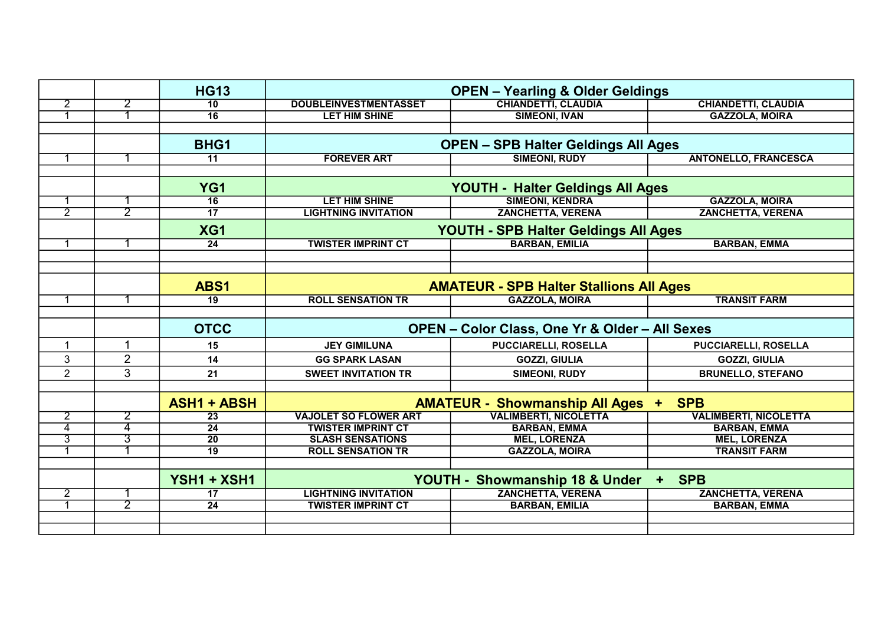|                |                      | <b>HG13</b>        | <b>OPEN - Yearling &amp; Older Geldings</b>               |                                |                              |  |
|----------------|----------------------|--------------------|-----------------------------------------------------------|--------------------------------|------------------------------|--|
| $\overline{2}$ | 2                    | 10                 | <b>DOUBLEINVESTMENTASSET</b>                              | <b>CHIANDETTI, CLAUDIA</b>     | <b>CHIANDETTI, CLAUDIA</b>   |  |
| -1             |                      | $\overline{16}$    | <b>LET HIM SHINE</b>                                      | <b>SIMEONI, IVAN</b>           | <b>GAZZOLA, MOIRA</b>        |  |
|                |                      |                    |                                                           |                                |                              |  |
|                |                      | BHG1               | <b>OPEN - SPB Halter Geldings All Ages</b>                |                                |                              |  |
|                |                      | $\overline{11}$    | <b>FOREVER ART</b>                                        | <b>SIMEONI, RUDY</b>           | <b>ANTONELLO, FRANCESCA</b>  |  |
|                |                      |                    |                                                           |                                |                              |  |
|                |                      | YG <sub>1</sub>    | YOUTH - Halter Geldings All Ages                          |                                |                              |  |
| -1             |                      | $\overline{16}$    | <b>LET HIM SHINE</b>                                      | <b>SIMEONI, KENDRA</b>         | <b>GAZZOLA, MOIRA</b>        |  |
| $\overline{2}$ | $\overline{2}$       | $\overline{17}$    | <b>LIGHTNING INVITATION</b>                               | <b>ZANCHETTA, VERENA</b>       | <b>ZANCHETTA, VERENA</b>     |  |
|                |                      | XG1                | YOUTH - SPB Halter Geldings All Ages                      |                                |                              |  |
| $\mathbf 1$    |                      | $\overline{24}$    | <b>TWISTER IMPRINT CT</b>                                 | <b>BARBAN, EMILIA</b>          | <b>BARBAN, EMMA</b>          |  |
|                |                      |                    |                                                           |                                |                              |  |
|                |                      |                    |                                                           |                                |                              |  |
|                |                      | ABS1               | <b>AMATEUR - SPB Halter Stallions All Ages</b>            |                                |                              |  |
| -1             |                      | $\overline{19}$    | <b>ROLL SENSATION TR</b>                                  | <b>GAZZOLA, MOIRA</b>          | <b>TRANSIT FARM</b>          |  |
|                |                      |                    |                                                           |                                |                              |  |
|                |                      | <b>OTCC</b>        | <b>OPEN - Color Class, One Yr &amp; Older - All Sexes</b> |                                |                              |  |
| $\overline{1}$ | $\blacktriangleleft$ | 15                 | <b>JEY GIMILUNA</b>                                       | <b>PUCCIARELLI, ROSELLA</b>    | <b>PUCCIARELLI, ROSELLA</b>  |  |
| 3              | $\overline{2}$       | 14                 | <b>GG SPARK LASAN</b>                                     | <b>GOZZI, GIULIA</b>           | <b>GOZZI, GIULIA</b>         |  |
| $\overline{2}$ | 3                    | 21                 | <b>SWEET INVITATION TR</b>                                | <b>SIMEONI, RUDY</b>           | <b>BRUNELLO, STEFANO</b>     |  |
|                |                      |                    |                                                           |                                |                              |  |
|                |                      | <b>ASH1 + ABSH</b> | <b>AMATEUR - Showmanship All Ages + SPB</b>               |                                |                              |  |
| $\overline{2}$ | 2                    | $\overline{23}$    | <b>VAJOLET SO FLOWER ART</b>                              | <b>VALIMBERTI, NICOLETTA</b>   | <b>VALIMBERTI, NICOLETTA</b> |  |
| 4              | 4                    | $\overline{24}$    | <b>TWISTER IMPRINT CT</b>                                 | <b>BARBAN, EMMA</b>            | <b>BARBAN, EMMA</b>          |  |
| 3              | 3                    | $\overline{20}$    | <b>SLASH SENSATIONS</b>                                   | <b>MEL, LORENZA</b>            | <b>MEL, LORENZA</b>          |  |
|                |                      | $\overline{19}$    | <b>ROLL SENSATION TR</b>                                  | <b>GAZZOLA, MOIRA</b>          | <b>TRANSIT FARM</b>          |  |
|                |                      |                    |                                                           |                                |                              |  |
|                |                      | YSH1 + XSH1        |                                                           | YOUTH - Showmanship 18 & Under | <b>SPB</b><br>$+$ $\,$       |  |
| $\overline{2}$ |                      | 17                 | <b>LIGHTNING INVITATION</b>                               | <b>ZANCHETTA, VERENA</b>       | <b>ZANCHETTA, VERENA</b>     |  |
| -1             | $\overline{2}$       | 24                 | <b>TWISTER IMPRINT CT</b>                                 | <b>BARBAN, EMILIA</b>          | <b>BARBAN, EMMA</b>          |  |
|                |                      |                    |                                                           |                                |                              |  |
|                |                      |                    |                                                           |                                |                              |  |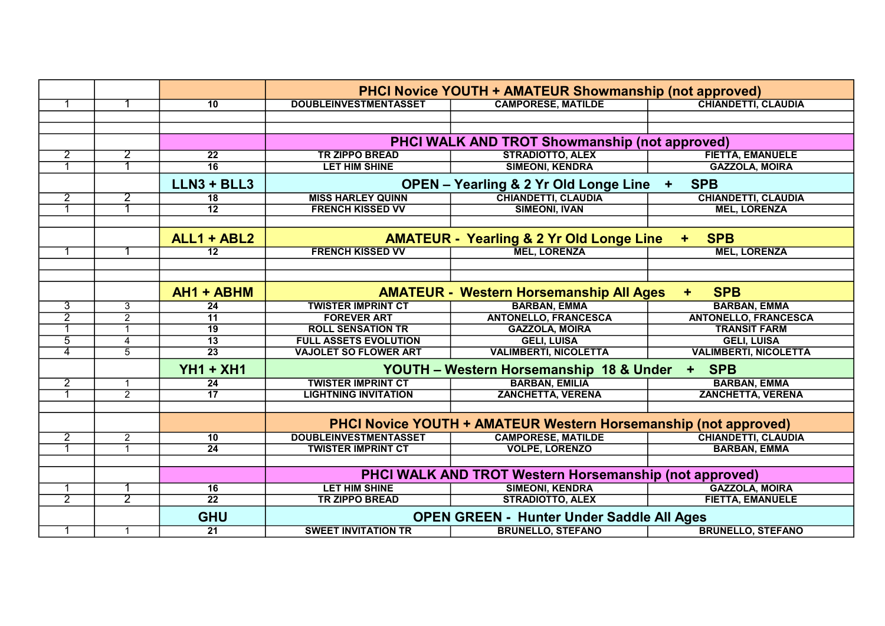|                |                |                  | <b>PHCI Novice YOUTH + AMATEUR Showmanship (not approved)</b>          |                                                      |                              |  |
|----------------|----------------|------------------|------------------------------------------------------------------------|------------------------------------------------------|------------------------------|--|
| -1             |                | 10               | <b>DOUBLEINVESTMENTASSET</b>                                           | <b>CAMPORESE, MATILDE</b>                            | <b>CHIANDETTI, CLAUDIA</b>   |  |
|                |                |                  |                                                                        |                                                      |                              |  |
|                |                |                  |                                                                        |                                                      |                              |  |
|                |                |                  |                                                                        | <b>PHCI WALK AND TROT Showmanship (not approved)</b> |                              |  |
| $\overline{2}$ | $\overline{2}$ | $\overline{22}$  | <b>TR ZIPPO BREAD</b>                                                  | <b>STRADIOTTO, ALEX</b>                              | <b>FIETTA, EMANUELE</b>      |  |
|                |                | $\overline{16}$  | <b>LET HIM SHINE</b>                                                   | <b>SIMEONI, KENDRA</b>                               | <b>GAZZOLA, MOIRA</b>        |  |
|                |                | $LLN3 + BLL3$    | <b>SPB</b><br><b>OPEN - Yearling &amp; 2 Yr Old Longe Line</b><br>$+$  |                                                      |                              |  |
| $\overline{2}$ | 2              | $\overline{18}$  | <b>MISS HARLEY QUINN</b>                                               | <b>CHIANDETTI, CLAUDIA</b>                           | <b>CHIANDETTI, CLAUDIA</b>   |  |
| $\mathbf 1$    |                | $\overline{12}$  | <b>FRENCH KISSED VV</b>                                                | <b>SIMEONI, IVAN</b>                                 | <b>MEL, LORENZA</b>          |  |
|                |                |                  |                                                                        |                                                      |                              |  |
|                |                | ALL1 + ABL2      | <b>AMATEUR - Yearling &amp; 2 Yr Old Longe Line</b><br><b>SPB</b><br>÷ |                                                      |                              |  |
|                |                | $\overline{12}$  | <b>FRENCH KISSED VV</b>                                                | <b>MEL, LORENZA</b>                                  | <b>MEL, LORENZA</b>          |  |
|                |                |                  |                                                                        |                                                      |                              |  |
|                |                |                  |                                                                        |                                                      |                              |  |
|                |                | AH1 + ABHM       |                                                                        | <b>AMATEUR - Western Horsemanship All Ages</b>       | <b>SPB</b><br>÷.             |  |
| $\overline{3}$ | 3              | 24               | <b>TWISTER IMPRINT CT</b>                                              | <b>BARBAN, EMMA</b>                                  | <b>BARBAN, EMMA</b>          |  |
| $\overline{2}$ | $\overline{2}$ | $\overline{11}$  | <b>FOREVER ART</b>                                                     | <b>ANTONELLO, FRANCESCA</b>                          | <b>ANTONELLO, FRANCESCA</b>  |  |
| -1             | $\mathbf{1}$   | $\overline{19}$  | <b>ROLL SENSATION TR</b>                                               | <b>GAZZOLA, MOIRA</b>                                | <b>TRANSIT FARM</b>          |  |
| $\overline{5}$ | 4              | $\overline{13}$  | <b>FULL ASSETS EVOLUTION</b>                                           | <b>GELI, LUISA</b>                                   | <b>GELI, LUISA</b>           |  |
| $\overline{4}$ | $\overline{5}$ | $\overline{23}$  | <b>VAJOLET SO FLOWER ART</b>                                           | <b>VALIMBERTI, NICOLETTA</b>                         | <b>VALIMBERTI, NICOLETTA</b> |  |
|                |                | <b>YH1 + XH1</b> | YOUTH - Western Horsemanship 18 & Under<br><b>SPB</b><br>$+$ $-$       |                                                      |                              |  |
| $\overline{2}$ | $\mathbf{1}$   | $\overline{24}$  | <b>TWISTER IMPRINT CT</b>                                              | <b>BARBAN, EMILIA</b>                                | <b>BARBAN, EMMA</b>          |  |
| -1             | $\overline{2}$ | $\overline{17}$  | <b>LIGHTNING INVITATION</b>                                            | <b>ZANCHETTA, VERENA</b>                             | <b>ZANCHETTA, VERENA</b>     |  |
|                |                |                  |                                                                        |                                                      |                              |  |
|                |                |                  | <b>PHCI Novice YOUTH + AMATEUR Western Horsemanship (not approved)</b> |                                                      |                              |  |
| $\overline{2}$ | $\overline{2}$ | 10               | <b>DOUBLEINVESTMENTASSET</b>                                           | <b>CAMPORESE, MATILDE</b>                            | <b>CHIANDETTI, CLAUDIA</b>   |  |
| -1             | $\overline{1}$ | 24               | <b>TWISTER IMPRINT CT</b>                                              | <b>VOLPE, LORENZO</b>                                | <b>BARBAN, EMMA</b>          |  |
|                |                |                  |                                                                        |                                                      |                              |  |
|                |                |                  | <b>PHCI WALK AND TROT Western Horsemanship (not approved)</b>          |                                                      |                              |  |
|                |                | 16               | <b>LET HIM SHINE</b>                                                   | <b>SIMEONI, KENDRA</b>                               | <b>GAZZOLA, MOIRA</b>        |  |
| $\overline{2}$ | $\overline{2}$ | $\overline{22}$  | <b>TR ZIPPO BREAD</b>                                                  | <b>STRADIOTTO, ALEX</b>                              | <b>FIETTA, EMANUELE</b>      |  |
|                |                | <b>GHU</b>       | <b>OPEN GREEN - Hunter Under Saddle All Ages</b>                       |                                                      |                              |  |
| $\mathbf{1}$   | $\mathbf{1}$   | $\overline{21}$  | <b>SWEET INVITATION TR</b>                                             | <b>BRUNELLO, STEFANO</b>                             | <b>BRUNELLO, STEFANO</b>     |  |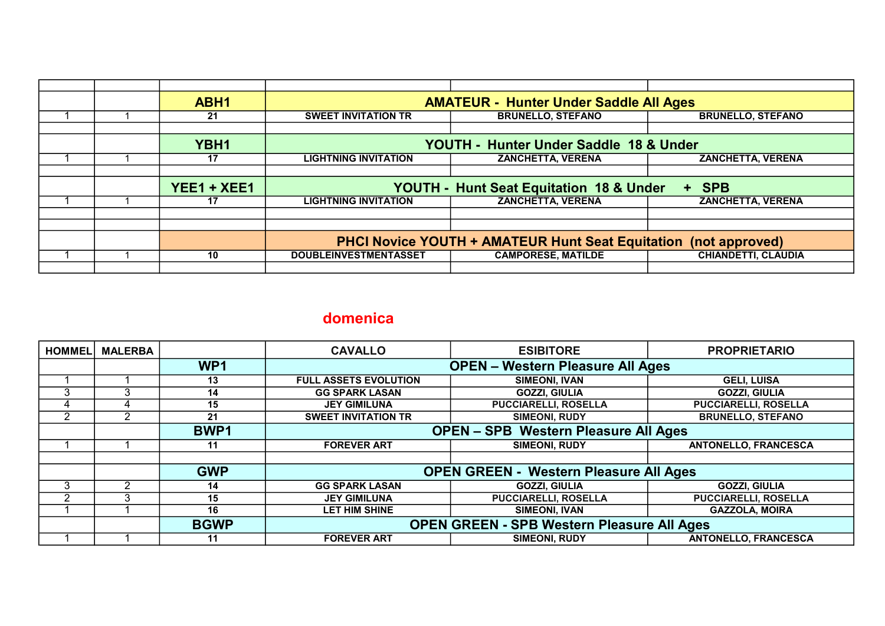|  | ABH1          | <b>AMATEUR - Hunter Under Saddle All Ages</b>                          |                           |                            |
|--|---------------|------------------------------------------------------------------------|---------------------------|----------------------------|
|  | 21            | <b>SWEET INVITATION TR</b>                                             | <b>BRUNELLO, STEFANO</b>  | <b>BRUNELLO, STEFANO</b>   |
|  |               |                                                                        |                           |                            |
|  | YBH1          | YOUTH - Hunter Under Saddle 18 & Under                                 |                           |                            |
|  | 17            | <b>LIGHTNING INVITATION</b>                                            | <b>ZANCHETTA, VERENA</b>  | <b>ZANCHETTA, VERENA</b>   |
|  |               |                                                                        |                           |                            |
|  | $YEE1 + XEE1$ | <b>YOUTH - Hunt Seat Equitation 18 &amp; Under</b><br>+ SPB            |                           |                            |
|  | 17            | <b>LIGHTNING INVITATION</b>                                            | <b>ZANCHETTA, VERENA</b>  | <b>ZANCHETTA, VERENA</b>   |
|  |               |                                                                        |                           |                            |
|  |               |                                                                        |                           |                            |
|  |               | <b>PHCI Novice YOUTH + AMATEUR Hunt Seat Equitation (not approved)</b> |                           |                            |
|  | 10            | <b>DOUBLEINVESTMENTASSET</b>                                           | <b>CAMPORESE, MATILDE</b> | <b>CHIANDETTI, CLAUDIA</b> |
|  |               |                                                                        |                           |                            |

## domenica

| <b>HOMMEL</b> | <b>MALERBA</b> |                 | <b>CAVALLO</b>                                    | <b>ESIBITORE</b>            | <b>PROPRIETARIO</b>         |
|---------------|----------------|-----------------|---------------------------------------------------|-----------------------------|-----------------------------|
|               |                | WP <sub>1</sub> | <b>OPEN - Western Pleasure All Ages</b>           |                             |                             |
|               |                | 13              | <b>FULL ASSETS EVOLUTION</b>                      | <b>SIMEONI, IVAN</b>        | <b>GELI, LUISA</b>          |
| 3             |                | 14              | <b>GG SPARK LASAN</b>                             | <b>GOZZI, GIULIA</b>        | <b>GOZZI, GIULIA</b>        |
| 4             |                | 15              | <b>JEY GIMILUNA</b>                               | <b>PUCCIARELLI, ROSELLA</b> | <b>PUCCIARELLI, ROSELLA</b> |
| 2             |                | 21              | <b>SWEET INVITATION TR</b>                        | <b>SIMEONI, RUDY</b>        | <b>BRUNELLO, STEFANO</b>    |
|               |                | <b>BWP1</b>     | <b>OPEN - SPB Western Pleasure All Ages</b>       |                             |                             |
|               |                | 11              | <b>FOREVER ART</b>                                | <b>SIMEONI, RUDY</b>        | <b>ANTONELLO, FRANCESCA</b> |
|               |                |                 |                                                   |                             |                             |
|               |                | <b>GWP</b>      | <b>OPEN GREEN - Western Pleasure All Ages</b>     |                             |                             |
| 3             | ⌒              | 14              | <b>GG SPARK LASAN</b>                             | <b>GOZZI, GIULIA</b>        | <b>GOZZI, GIULIA</b>        |
| 2             |                | 15              | <b>JEY GIMILUNA</b>                               | <b>PUCCIARELLI, ROSELLA</b> | <b>PUCCIARELLI, ROSELLA</b> |
|               |                | 16              | <b>LET HIM SHINE</b>                              | <b>SIMEONI, IVAN</b>        | <b>GAZZOLA, MOIRA</b>       |
|               |                | <b>BGWP</b>     | <b>OPEN GREEN - SPB Western Pleasure All Ages</b> |                             |                             |
|               |                | 11              | <b>FOREVER ART</b>                                | <b>SIMEONI, RUDY</b>        | <b>ANTONELLO, FRANCESCA</b> |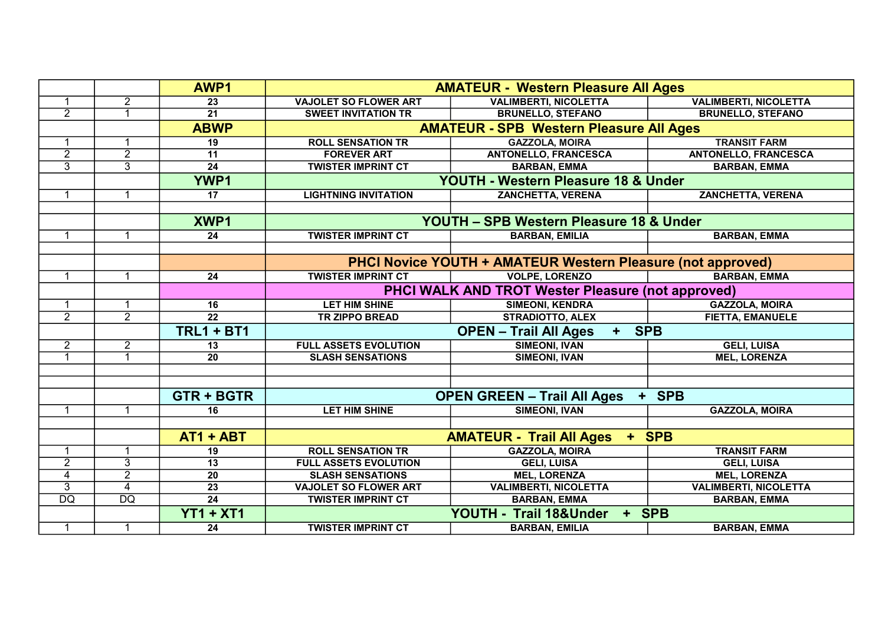|                 |                 | AWP1              | <b>AMATEUR - Western Pleasure All Ages</b>                  |                                                            |                              |  |
|-----------------|-----------------|-------------------|-------------------------------------------------------------|------------------------------------------------------------|------------------------------|--|
|                 | $\overline{2}$  | 23                | <b>VAJOLET SO FLOWER ART</b>                                | <b>VALIMBERTI, NICOLETTA</b>                               | <b>VALIMBERTI, NICOLETTA</b> |  |
| $\overline{2}$  | 1               | $\overline{21}$   | <b>SWEET INVITATION TR</b>                                  | <b>BRUNELLO, STEFANO</b>                                   | <b>BRUNELLO, STEFANO</b>     |  |
|                 |                 | <b>ABWP</b>       |                                                             | <b>AMATEUR - SPB Western Pleasure All Ages</b>             |                              |  |
| -1              | 1               | 19                | <b>ROLL SENSATION TR</b>                                    | <b>GAZZOLA, MOIRA</b>                                      | <b>TRANSIT FARM</b>          |  |
| $\overline{2}$  | $\overline{2}$  | $\overline{11}$   | <b>FOREVER ART</b>                                          | <b>ANTONELLO, FRANCESCA</b>                                | <b>ANTONELLO, FRANCESCA</b>  |  |
| $\overline{3}$  | $\overline{3}$  | $\overline{24}$   | <b>TWISTER IMPRINT CT</b>                                   | <b>BARBAN, EMMA</b>                                        | <b>BARBAN, EMMA</b>          |  |
|                 |                 | <b>YWP1</b>       | YOUTH - Western Pleasure 18 & Under                         |                                                            |                              |  |
|                 |                 | 17                | <b>LIGHTNING INVITATION</b>                                 | ZANCHETTA, VERENA                                          | <b>ZANCHETTA, VERENA</b>     |  |
|                 |                 |                   |                                                             |                                                            |                              |  |
|                 |                 | XWP1              |                                                             | YOUTH - SPB Western Pleasure 18 & Under                    |                              |  |
| -1              | $\mathbf 1$     | 24                | <b>TWISTER IMPRINT CT</b>                                   | <b>BARBAN, EMILIA</b>                                      | <b>BARBAN, EMMA</b>          |  |
|                 |                 |                   |                                                             |                                                            |                              |  |
|                 |                 |                   | PHCI Novice YOUTH + AMATEUR Western Pleasure (not approved) |                                                            |                              |  |
| $\overline{1}$  | 1               | 24                | <b>TWISTER IMPRINT CT</b>                                   | <b>VOLPE, LORENZO</b>                                      | <b>BARBAN, EMMA</b>          |  |
|                 |                 |                   | <b>PHCI WALK AND TROT Wester Pleasure (not approved)</b>    |                                                            |                              |  |
| -1              |                 | 16                | <b>LET HIM SHINE</b>                                        | <b>SIMEONI, KENDRA</b>                                     | <b>GAZZOLA, MOIRA</b>        |  |
| $\overline{2}$  | $\overline{2}$  | $\overline{22}$   | <b>TR ZIPPO BREAD</b>                                       | <b>STRADIOTTO, ALEX</b>                                    | <b>FIETTA, EMANUELE</b>      |  |
|                 |                 | <b>TRL1 + BT1</b> | <b>SPB</b><br><b>OPEN - Trail All Ages</b><br>$+$           |                                                            |                              |  |
| $\overline{2}$  | $\overline{2}$  | $\overline{13}$   | <b>FULL ASSETS EVOLUTION</b>                                | <b>SIMEONI, IVAN</b>                                       | <b>GELI, LUISA</b>           |  |
| $\overline{1}$  | $\overline{1}$  | 20                | <b>SLASH SENSATIONS</b>                                     | <b>SIMEONI, IVAN</b>                                       | <b>MEL, LORENZA</b>          |  |
|                 |                 |                   |                                                             |                                                            |                              |  |
|                 |                 |                   |                                                             |                                                            |                              |  |
|                 |                 | <b>GTR + BGTR</b> |                                                             | <b>OPEN GREEN - Trail All Ages</b><br>$\ddot{\phantom{1}}$ | <b>SPB</b>                   |  |
|                 |                 | 16                | <b>LET HIM SHINE</b>                                        | <b>SIMEONI, IVAN</b>                                       | <b>GAZZOLA, MOIRA</b>        |  |
|                 |                 |                   |                                                             |                                                            |                              |  |
|                 |                 | $AT1 + ABT$       | + SPB<br><b>AMATEUR - Trail All Ages</b>                    |                                                            |                              |  |
| 1               |                 | 19                | <b>ROLL SENSATION TR</b>                                    | <b>GAZZOLA, MOIRA</b>                                      | <b>TRANSIT FARM</b>          |  |
| $\overline{2}$  | $\overline{3}$  | 13                | <b>FULL ASSETS EVOLUTION</b>                                | <b>GELI, LUISA</b>                                         | <b>GELI, LUISA</b>           |  |
| $\overline{4}$  | $\overline{2}$  | $\overline{20}$   | <b>SLASH SENSATIONS</b>                                     | <b>MEL, LORENZA</b>                                        | <b>MEL, LORENZA</b>          |  |
| $\overline{3}$  | $\overline{4}$  | $\overline{23}$   | <b>VAJOLET SO FLOWER ART</b>                                | <b>VALIMBERTI, NICOLETTA</b>                               | <b>VALIMBERTI, NICOLETTA</b> |  |
| $\overline{DQ}$ | $\overline{DQ}$ | $\overline{24}$   | <b>TWISTER IMPRINT CT</b>                                   | <b>BARBAN, EMMA</b>                                        | <b>BARBAN, EMMA</b>          |  |
|                 |                 | <b>YT1 + XT1</b>  |                                                             | YOUTH - Trail 18&Under<br>+ SPB                            |                              |  |
| $\mathbf{1}$    | $\mathbf{1}$    | $\overline{24}$   | <b>TWISTER IMPRINT CT</b>                                   | <b>BARBAN, EMILIA</b>                                      | <b>BARBAN, EMMA</b>          |  |